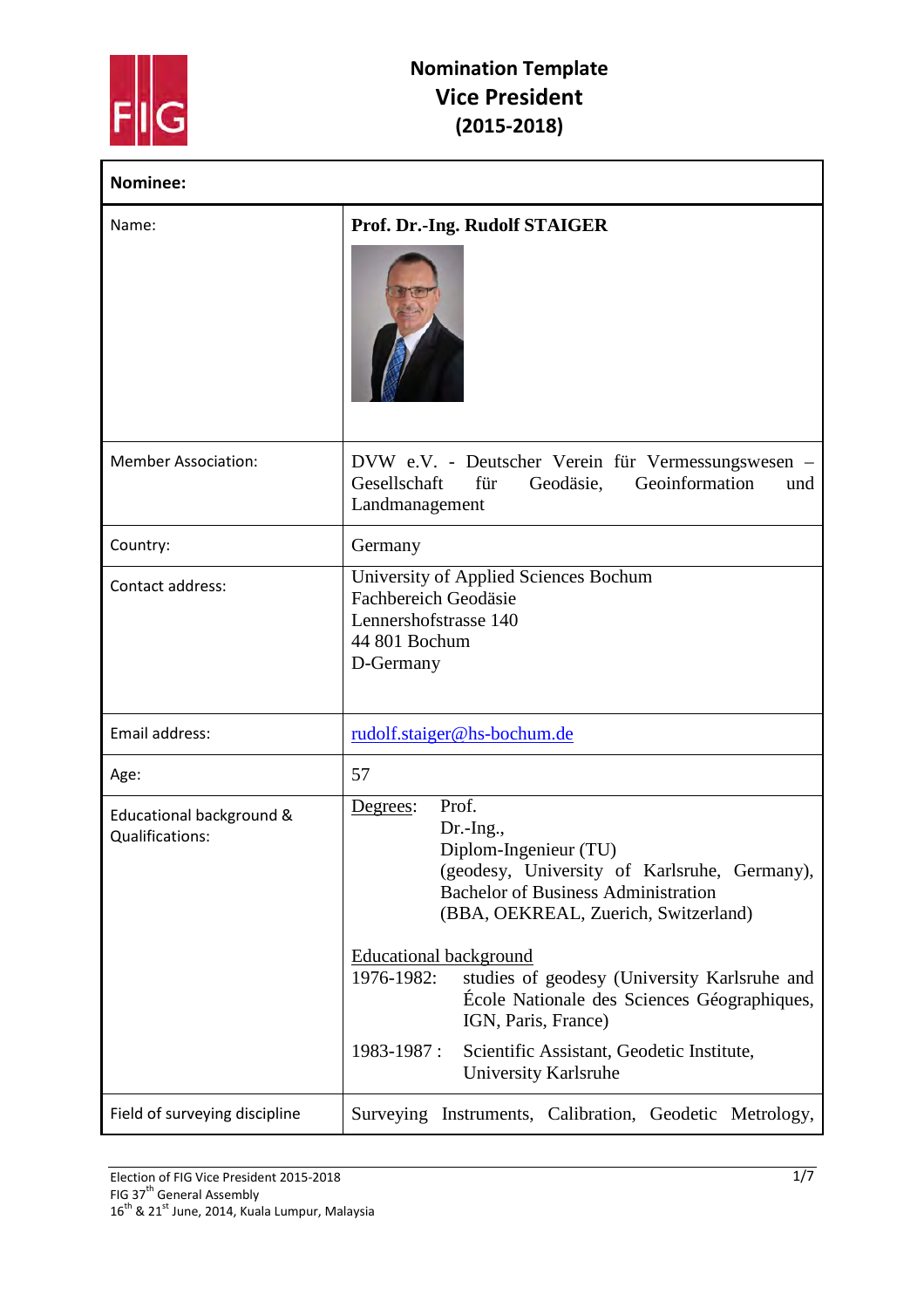

| Nominee:                                    |                                                                                                                                                                                                                                                                                                                                                                                                                                                             |
|---------------------------------------------|-------------------------------------------------------------------------------------------------------------------------------------------------------------------------------------------------------------------------------------------------------------------------------------------------------------------------------------------------------------------------------------------------------------------------------------------------------------|
| Name:                                       | Prof. Dr.-Ing. Rudolf STAIGER                                                                                                                                                                                                                                                                                                                                                                                                                               |
| <b>Member Association:</b>                  | DVW e.V. - Deutscher Verein für Vermessungswesen –<br>Geoinformation<br>Gesellschaft<br>für<br>Geodäsie,<br>und<br>Landmanagement                                                                                                                                                                                                                                                                                                                           |
| Country:                                    | Germany                                                                                                                                                                                                                                                                                                                                                                                                                                                     |
| Contact address:                            | University of Applied Sciences Bochum<br><b>Fachbereich Geodäsie</b><br>Lennershofstrasse 140<br>44 801 Bochum<br>D-Germany                                                                                                                                                                                                                                                                                                                                 |
| Email address:                              | rudolf.staiger@hs-bochum.de                                                                                                                                                                                                                                                                                                                                                                                                                                 |
| Age:                                        | 57                                                                                                                                                                                                                                                                                                                                                                                                                                                          |
| Educational background &<br>Qualifications: | Prof.<br>Degrees:<br>$Dr.-Ing.,$<br>Diplom-Ingenieur (TU)<br>(geodesy, University of Karlsruhe, Germany),<br><b>Bachelor of Business Administration</b><br>(BBA, OEKREAL, Zuerich, Switzerland)<br><b>Educational background</b><br>1976-1982:<br>studies of geodesy (University Karlsruhe and<br>École Nationale des Sciences Géographiques,<br>IGN, Paris, France)<br>$1983 - 1987:$<br>Scientific Assistant, Geodetic Institute,<br>University Karlsruhe |
| Field of surveying discipline               | Surveying Instruments, Calibration, Geodetic Metrology,                                                                                                                                                                                                                                                                                                                                                                                                     |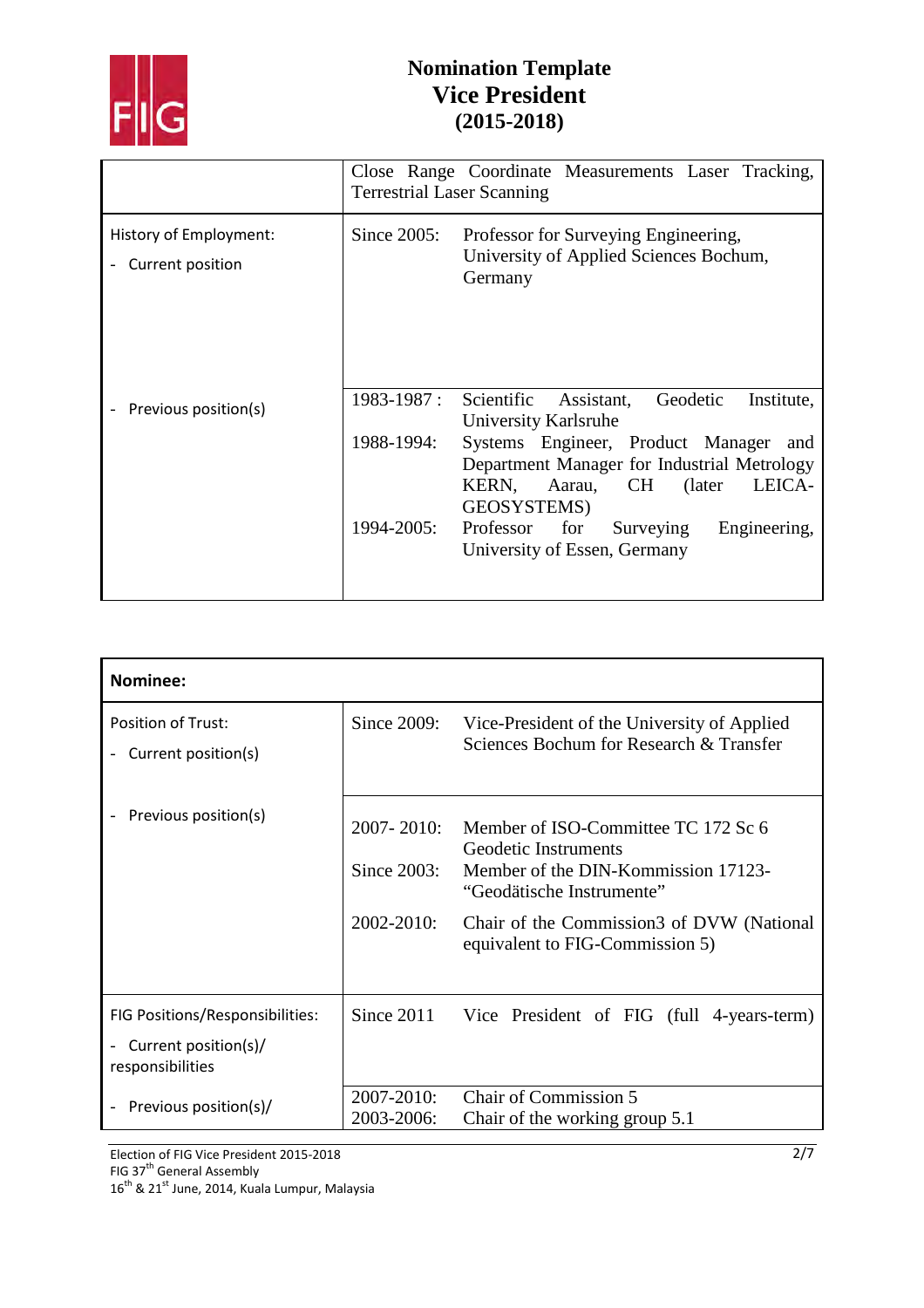

|                                            | <b>Terrestrial Laser Scanning</b> | Close Range Coordinate Measurements Laser Tracking,                                                                                           |
|--------------------------------------------|-----------------------------------|-----------------------------------------------------------------------------------------------------------------------------------------------|
| History of Employment:<br>Current position | Since $2005$ :                    | Professor for Surveying Engineering,<br>University of Applied Sciences Bochum,<br>Germany                                                     |
| Previous position(s)                       | 1983-1987 :                       | Scientific Assistant,<br>Geodetic<br>Institute,<br>University Karlsruhe                                                                       |
|                                            | 1988-1994:                        | Systems Engineer, Product Manager<br>and<br>Department Manager for Industrial Metrology<br>Aarau, CH (later<br>LEICA-<br>KERN,<br>GEOSYSTEMS) |
|                                            | 1994-2005:                        | Professor for<br>Engineering,<br>Surveying<br>University of Essen, Germany                                                                    |

| Nominee:                                         |                          |                                                                                                    |
|--------------------------------------------------|--------------------------|----------------------------------------------------------------------------------------------------|
| <b>Position of Trust:</b><br>Current position(s) |                          | Since 2009: Vice-President of the University of Applied<br>Sciences Bochum for Research & Transfer |
| Previous position(s)                             |                          | 2007-2010: Member of ISO-Committee TC 172 Sc 6<br>Geodetic Instruments                             |
|                                                  | Since $2003$ :           | Member of the DIN-Kommission 17123-<br>"Geodätische Instrumente"                                   |
|                                                  | 2002-2010:               | Chair of the Commission3 of DVW (National<br>equivalent to FIG-Commission 5)                       |
| FIG Positions/Responsibilities:                  |                          | Since 2011 Vice President of FIG (full 4-years-term)                                               |
| Current position(s)/<br>responsibilities         |                          |                                                                                                    |
| Previous position(s)/                            | 2007-2010:<br>2003-2006: | <b>Chair of Commission 5</b><br>Chair of the working group 5.1                                     |

Election of FIG Vice President 2015-2018 FIG 37<sup>th</sup> General Assembly  $16^{\text{th}}$  & 21<sup>st</sup> June, 2014, Kuala Lumpur, Malaysia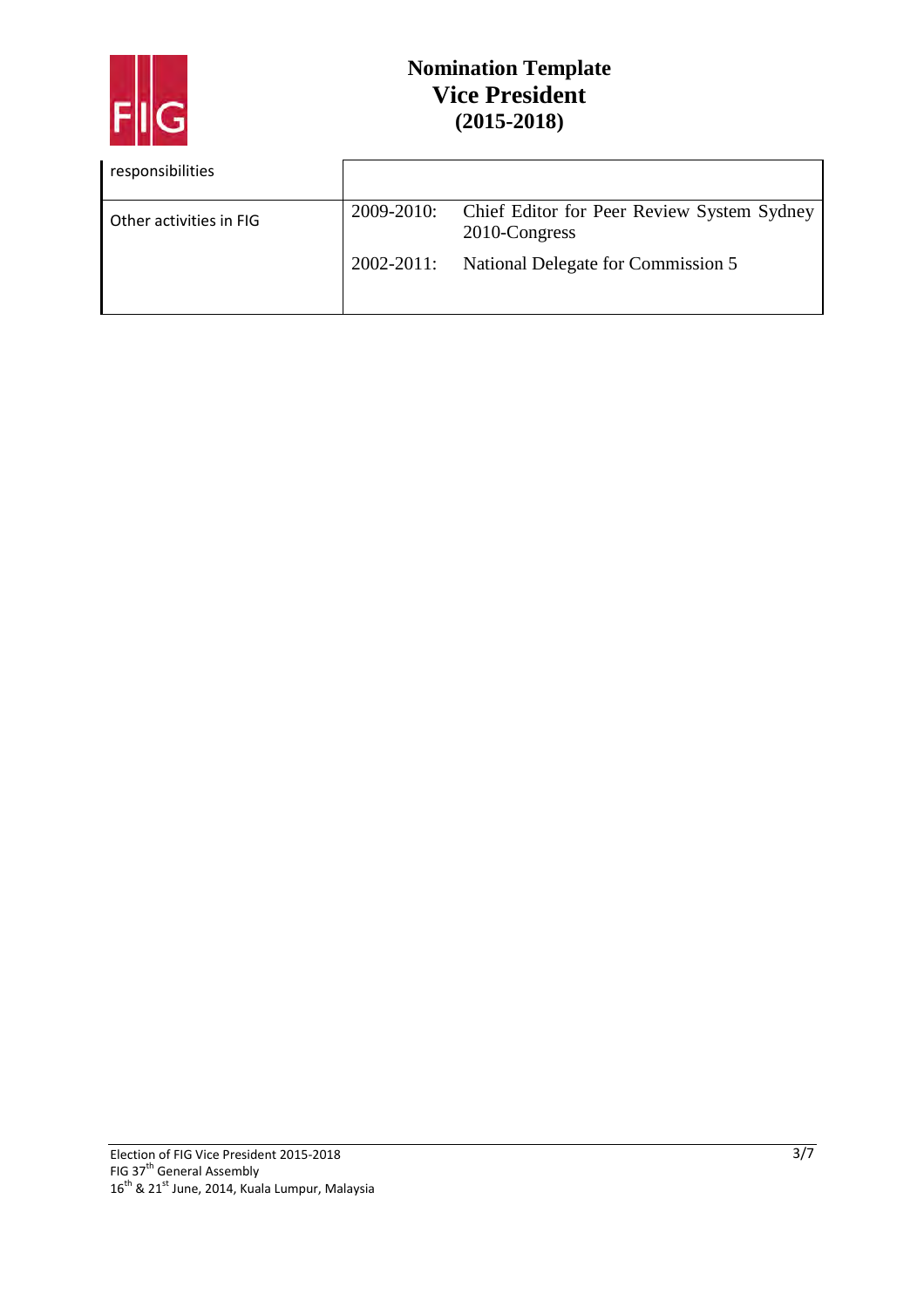

| responsibilities        |            |                                                             |
|-------------------------|------------|-------------------------------------------------------------|
| Other activities in FIG | 2009-2010: | Chief Editor for Peer Review System Sydney<br>2010-Congress |
|                         | 2002-2011: | National Delegate for Commission 5                          |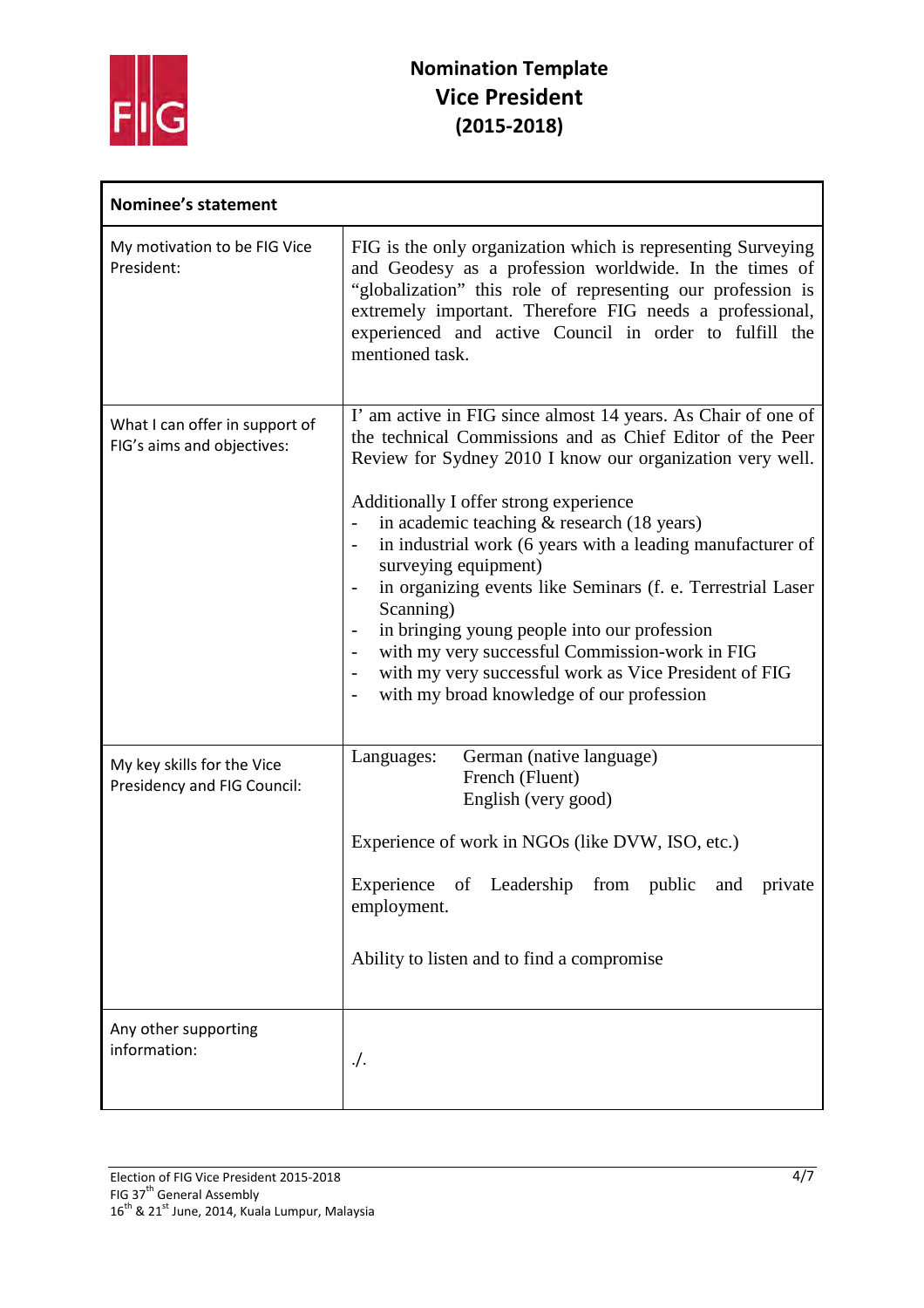

| <b>Nominee's statement</b>                                   |                                                                                                                                                                                                                                                                                                                                                                                                                                                                                                                                                                                                                                                                                                                                                                             |
|--------------------------------------------------------------|-----------------------------------------------------------------------------------------------------------------------------------------------------------------------------------------------------------------------------------------------------------------------------------------------------------------------------------------------------------------------------------------------------------------------------------------------------------------------------------------------------------------------------------------------------------------------------------------------------------------------------------------------------------------------------------------------------------------------------------------------------------------------------|
| My motivation to be FIG Vice<br>President:                   | FIG is the only organization which is representing Surveying<br>and Geodesy as a profession worldwide. In the times of<br>"globalization" this role of representing our profession is<br>extremely important. Therefore FIG needs a professional,<br>experienced and active Council in order to fulfill the<br>mentioned task.                                                                                                                                                                                                                                                                                                                                                                                                                                              |
| What I can offer in support of<br>FIG's aims and objectives: | I' am active in FIG since almost 14 years. As Chair of one of<br>the technical Commissions and as Chief Editor of the Peer<br>Review for Sydney 2010 I know our organization very well.<br>Additionally I offer strong experience<br>in academic teaching $&$ research (18 years)<br>in industrial work (6 years with a leading manufacturer of<br>$\overline{\phantom{a}}$<br>surveying equipment)<br>in organizing events like Seminars (f. e. Terrestrial Laser<br>Scanning)<br>in bringing young people into our profession<br>with my very successful Commission-work in FIG<br>$\overline{\phantom{a}}$<br>with my very successful work as Vice President of FIG<br>$\overline{\phantom{a}}$<br>with my broad knowledge of our profession<br>$\overline{\phantom{a}}$ |
| My key skills for the Vice<br>Presidency and FIG Council:    | German (native language)<br>Languages:<br>French (Fluent)<br>English (very good)<br>Experience of work in NGOs (like DVW, ISO, etc.)<br>Experience of Leadership from public and private<br>employment.<br>Ability to listen and to find a compromise                                                                                                                                                                                                                                                                                                                                                                                                                                                                                                                       |
| Any other supporting<br>information:                         | $\cdot$ .                                                                                                                                                                                                                                                                                                                                                                                                                                                                                                                                                                                                                                                                                                                                                                   |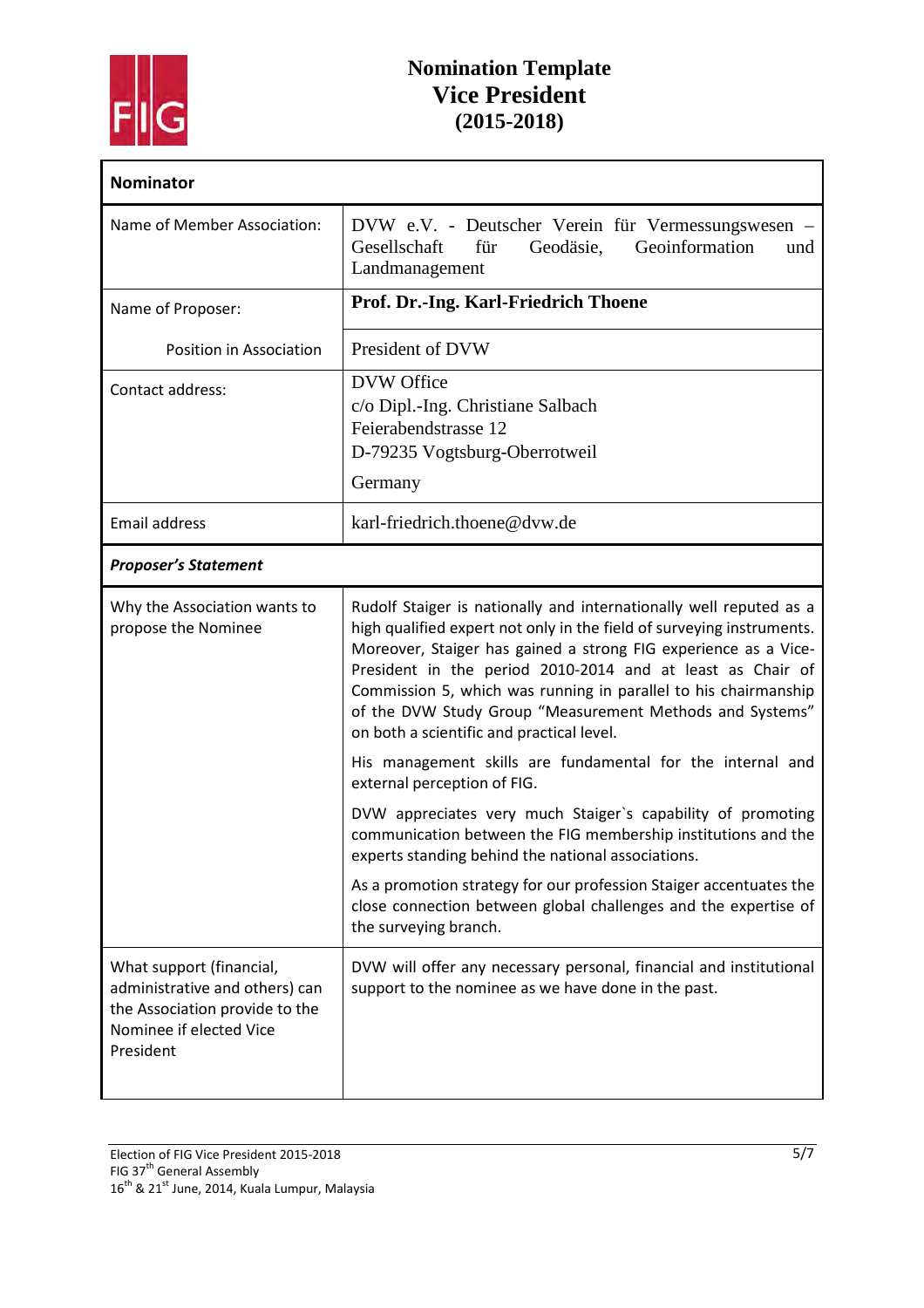

| <b>Nominator</b>                                                                                                                     |                                                                                                                                                                                                                                                                                                                                                                                                                                                                                                                                                                                                                                                                                                                                                                                                                                                                                                               |
|--------------------------------------------------------------------------------------------------------------------------------------|---------------------------------------------------------------------------------------------------------------------------------------------------------------------------------------------------------------------------------------------------------------------------------------------------------------------------------------------------------------------------------------------------------------------------------------------------------------------------------------------------------------------------------------------------------------------------------------------------------------------------------------------------------------------------------------------------------------------------------------------------------------------------------------------------------------------------------------------------------------------------------------------------------------|
| Name of Member Association:                                                                                                          | DVW e.V. - Deutscher Verein für Vermessungswesen –<br>Geoinformation<br>Gesellschaft<br>für<br>Geodäsie,<br>und<br>Landmanagement                                                                                                                                                                                                                                                                                                                                                                                                                                                                                                                                                                                                                                                                                                                                                                             |
| Name of Proposer:                                                                                                                    | Prof. Dr.-Ing. Karl-Friedrich Thoene                                                                                                                                                                                                                                                                                                                                                                                                                                                                                                                                                                                                                                                                                                                                                                                                                                                                          |
| Position in Association                                                                                                              | President of DVW                                                                                                                                                                                                                                                                                                                                                                                                                                                                                                                                                                                                                                                                                                                                                                                                                                                                                              |
| Contact address:                                                                                                                     | <b>DVW</b> Office<br>c/o Dipl.-Ing. Christiane Salbach<br>Feierabendstrasse 12<br>D-79235 Vogtsburg-Oberrotweil<br>Germany                                                                                                                                                                                                                                                                                                                                                                                                                                                                                                                                                                                                                                                                                                                                                                                    |
| <b>Email address</b>                                                                                                                 | karl-friedrich.thoene@dvw.de                                                                                                                                                                                                                                                                                                                                                                                                                                                                                                                                                                                                                                                                                                                                                                                                                                                                                  |
| <b>Proposer's Statement</b>                                                                                                          |                                                                                                                                                                                                                                                                                                                                                                                                                                                                                                                                                                                                                                                                                                                                                                                                                                                                                                               |
| Why the Association wants to<br>propose the Nominee                                                                                  | Rudolf Staiger is nationally and internationally well reputed as a<br>high qualified expert not only in the field of surveying instruments.<br>Moreover, Staiger has gained a strong FIG experience as a Vice-<br>President in the period 2010-2014 and at least as Chair of<br>Commission 5, which was running in parallel to his chairmanship<br>of the DVW Study Group "Measurement Methods and Systems"<br>on both a scientific and practical level.<br>His management skills are fundamental for the internal and<br>external perception of FIG.<br>DVW appreciates very much Staiger's capability of promoting<br>communication between the FIG membership institutions and the<br>experts standing behind the national associations.<br>As a promotion strategy for our profession Staiger accentuates the<br>close connection between global challenges and the expertise of<br>the surveying branch. |
| What support (financial,<br>administrative and others) can<br>the Association provide to the<br>Nominee if elected Vice<br>President | DVW will offer any necessary personal, financial and institutional<br>support to the nominee as we have done in the past.                                                                                                                                                                                                                                                                                                                                                                                                                                                                                                                                                                                                                                                                                                                                                                                     |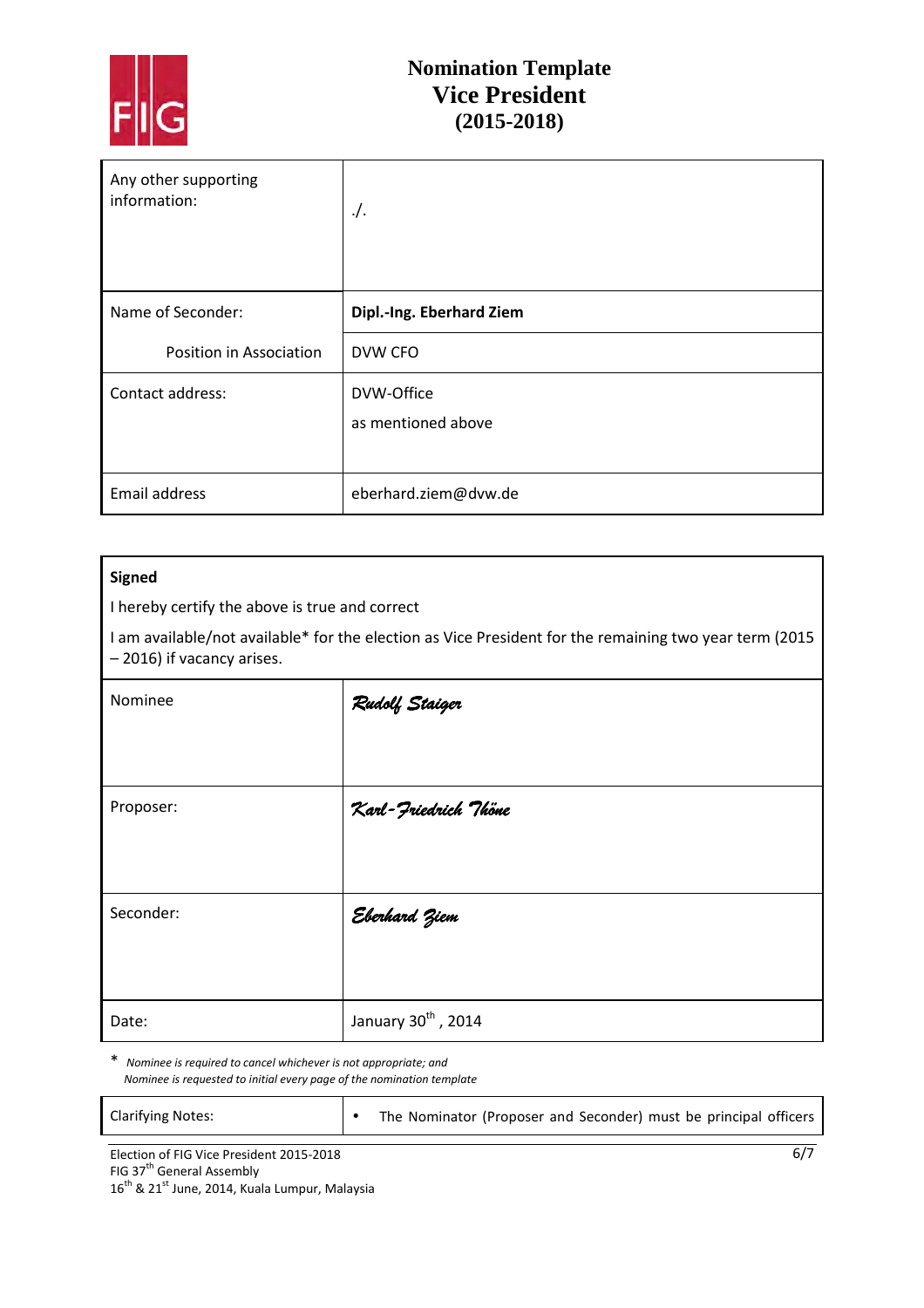

| Any other supporting<br>information: | $\cdot$ .                |
|--------------------------------------|--------------------------|
| Name of Seconder:                    | Dipl.-Ing. Eberhard Ziem |
| Position in Association              | DVW CFO                  |
| Contact address:                     | DVW-Office               |
|                                      | as mentioned above       |
| Email address                        | eberhard.ziem@dvw.de     |

#### **Signed**

I hereby certify the above is true and correct

I am available/not available\* for the election as Vice President for the remaining two year term (2015 – 2016) if vacancy arises.

| Nominee   | Rudolf Staiger       |
|-----------|----------------------|
|           |                      |
| Proposer: | Karl-Friedrich Thöne |
|           |                      |
| Seconder: | Eberhard Ziem        |
|           |                      |
| Date:     | January 30th, 2014   |

\* *Nominee is required to cancel whichever is not appropriate; and Nominee is requested to initial every page of the nomination template* 

| <b>Clarifying Notes:</b>                 | The Nominator (Proposer and Seconder) must be principal officers |
|------------------------------------------|------------------------------------------------------------------|
| Election of FIG Vice President 2015-2018 | 6/7                                                              |

FIG 37<sup>th</sup> General Assembly  $16^{th}$  & 21st June, 2014, Kuala Lumpur, Malaysia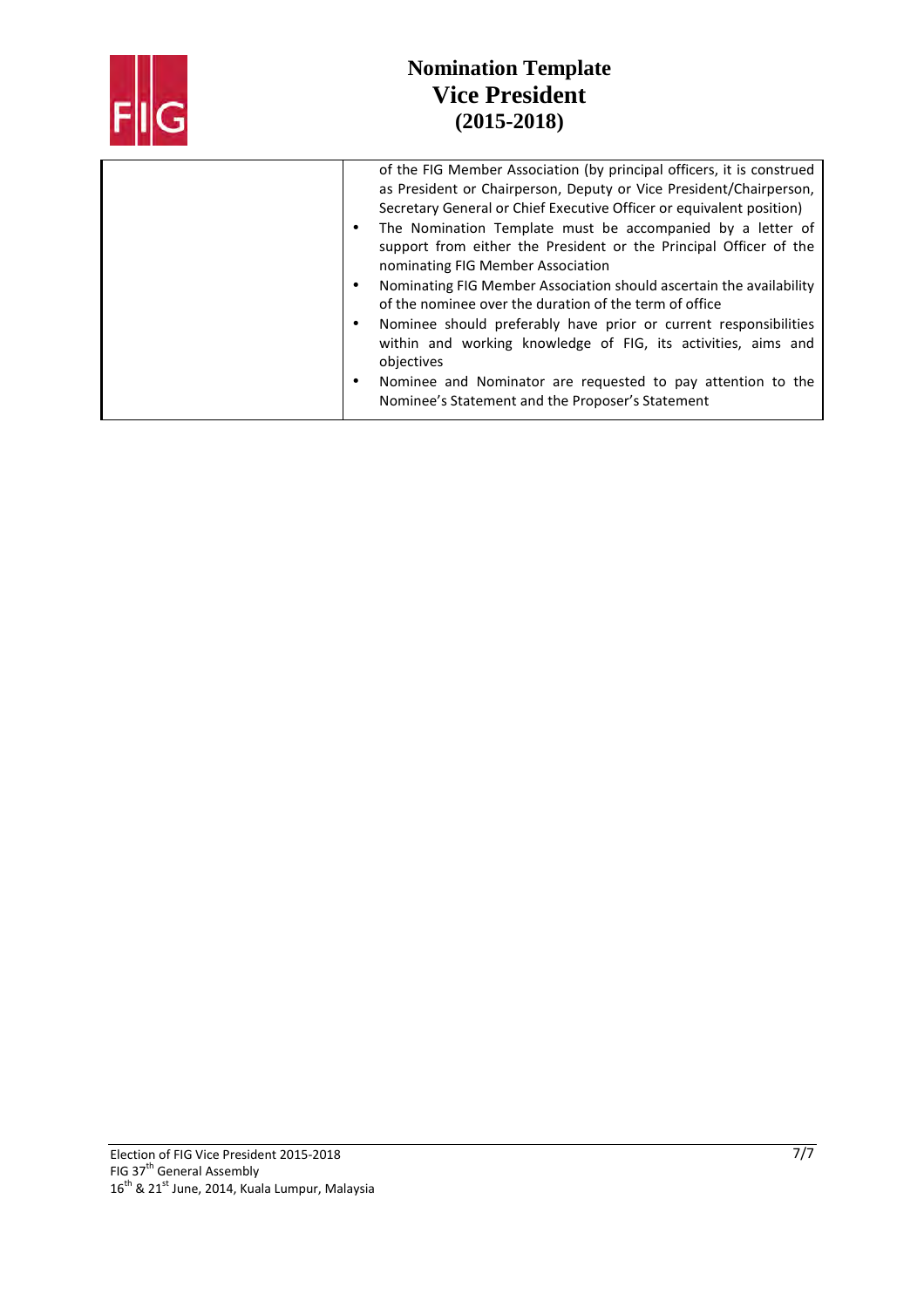| of the FIG Member Association (by principal officers, it is construed<br>as President or Chairperson, Deputy or Vice President/Chairperson,<br>Secretary General or Chief Executive Officer or equivalent position)<br>The Nomination Template must be accompanied by a letter of<br>$\bullet$<br>support from either the President or the Principal Officer of the<br>nominating FIG Member Association<br>Nominating FIG Member Association should ascertain the availability<br>of the nominee over the duration of the term of office<br>Nominee should preferably have prior or current responsibilities<br>within and working knowledge of FIG, its activities, aims and<br>objectives |
|----------------------------------------------------------------------------------------------------------------------------------------------------------------------------------------------------------------------------------------------------------------------------------------------------------------------------------------------------------------------------------------------------------------------------------------------------------------------------------------------------------------------------------------------------------------------------------------------------------------------------------------------------------------------------------------------|
| Nominee and Nominator are requested to pay attention to the<br>$\bullet$<br>Nominee's Statement and the Proposer's Statement                                                                                                                                                                                                                                                                                                                                                                                                                                                                                                                                                                 |
|                                                                                                                                                                                                                                                                                                                                                                                                                                                                                                                                                                                                                                                                                              |